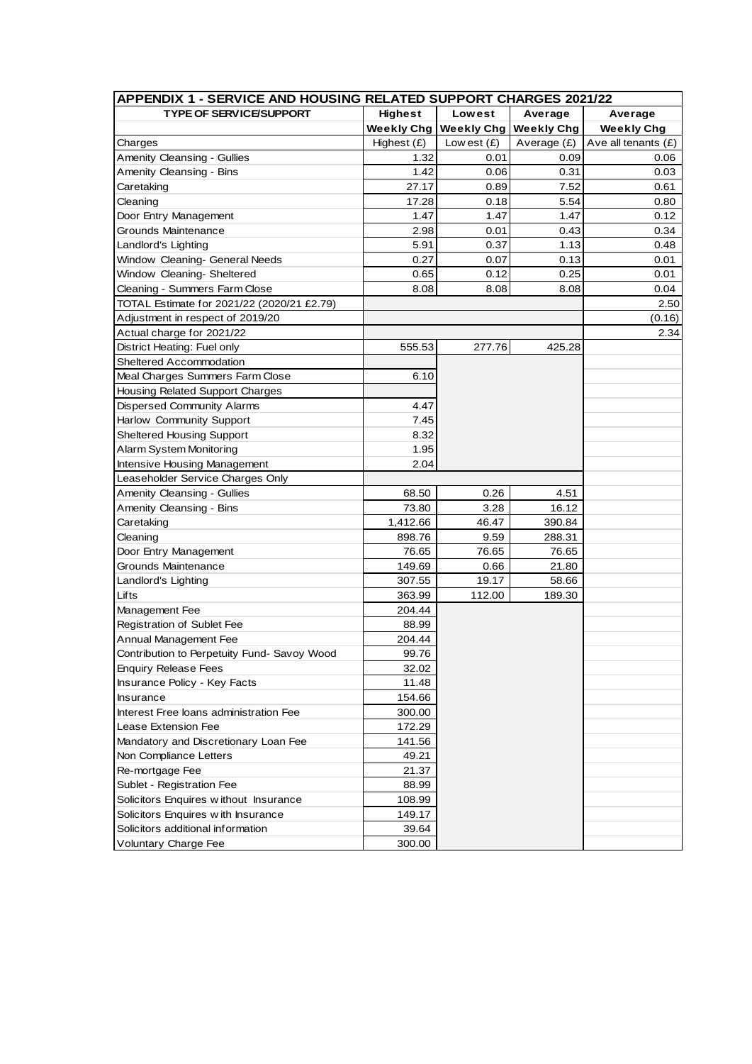| APPENDIX 1 - SERVICE AND HOUSING RELATED SUPPORT CHARGES 2021/22 |                   |                   |                   |                       |  |  |
|------------------------------------------------------------------|-------------------|-------------------|-------------------|-----------------------|--|--|
| <b>TYPE OF SERVICE/SUPPORT</b>                                   | <b>Highest</b>    | Lowest            | Average           | Average               |  |  |
|                                                                  | <b>Weekly Chg</b> | <b>Weekly Chg</b> | <b>Weekly Chg</b> | <b>Weekly Chg</b>     |  |  |
| Charges                                                          | Highest (£)       | Low est $(E)$     | Average (£)       | Ave all tenants $(E)$ |  |  |
| Amenity Cleansing - Gullies                                      | 1.32              | 0.01              | 0.09              | 0.06                  |  |  |
| Amenity Cleansing - Bins                                         | 1.42              | 0.06              | 0.31              | 0.03                  |  |  |
| Caretaking                                                       | 27.17             | 0.89              | 7.52              | 0.61                  |  |  |
| Cleaning                                                         | 17.28             | 0.18              | 5.54              | 0.80                  |  |  |
| Door Entry Management                                            | 1.47              | 1.47              | 1.47              | 0.12                  |  |  |
| Grounds Maintenance                                              | 2.98              | 0.01              | 0.43              | 0.34                  |  |  |
| Landlord's Lighting                                              | 5.91              | 0.37              | 1.13              | 0.48                  |  |  |
| Window Cleaning- General Needs                                   | 0.27              | 0.07              | 0.13              | 0.01                  |  |  |
| Window Cleaning- Sheltered                                       | 0.65              | 0.12              | 0.25              | 0.01                  |  |  |
| Cleaning - Summers Farm Close                                    | 8.08              | 8.08              | 8.08              | 0.04                  |  |  |
| TOTAL Estimate for 2021/22 (2020/21 £2.79)                       |                   |                   |                   | 2.50                  |  |  |
| Adjustment in respect of 2019/20                                 |                   |                   |                   | (0.16)                |  |  |
| Actual charge for 2021/22                                        |                   |                   |                   | 2.34                  |  |  |
| District Heating: Fuel only                                      | 555.53            | 277.76            | 425.28            |                       |  |  |
| Sheltered Accommodation                                          |                   |                   |                   |                       |  |  |
| Meal Charges Summers Farm Close                                  | 6.10              |                   |                   |                       |  |  |
| Housing Related Support Charges                                  |                   |                   |                   |                       |  |  |
| Dispersed Community Alarms                                       | 4.47              |                   |                   |                       |  |  |
| Harlow Community Support                                         | 7.45              |                   |                   |                       |  |  |
| <b>Sheltered Housing Support</b>                                 | 8.32              |                   |                   |                       |  |  |
| Alarm System Monitoring                                          | 1.95              |                   |                   |                       |  |  |
| Intensive Housing Management                                     | 2.04              |                   |                   |                       |  |  |
| Leaseholder Service Charges Only                                 |                   |                   |                   |                       |  |  |
| Amenity Cleansing - Gullies                                      | 68.50             | 0.26              | 4.51              |                       |  |  |
| Amenity Cleansing - Bins                                         | 73.80             | 3.28              | 16.12             |                       |  |  |
| Caretaking                                                       | 1,412.66          | 46.47             | 390.84            |                       |  |  |
| Cleaning                                                         | 898.76            | 9.59              | 288.31            |                       |  |  |
| Door Entry Management                                            | 76.65             | 76.65             | 76.65             |                       |  |  |
| Grounds Maintenance                                              | 149.69            | 0.66              | 21.80             |                       |  |  |
| Landlord's Lighting                                              | 307.55            | 19.17             | 58.66             |                       |  |  |
| Lifts                                                            | 363.99            | 112.00            | 189.30            |                       |  |  |
| Management Fee                                                   | 204.44            |                   |                   |                       |  |  |
| <b>Registration of Sublet Fee</b>                                | 88.99             |                   |                   |                       |  |  |
| Annual Management Fee                                            | 204.44            |                   |                   |                       |  |  |
| Contribution to Perpetuity Fund- Savoy Wood                      | 99.76             |                   |                   |                       |  |  |
| <b>Enquiry Release Fees</b>                                      | 32.02             |                   |                   |                       |  |  |
| Insurance Policy - Key Facts                                     | 11.48             |                   |                   |                       |  |  |
| Insurance                                                        | 154.66            |                   |                   |                       |  |  |
| Interest Free loans administration Fee                           | 300.00            |                   |                   |                       |  |  |
| Lease Extension Fee                                              | 172.29            |                   |                   |                       |  |  |
| Mandatory and Discretionary Loan Fee                             | 141.56            |                   |                   |                       |  |  |
| Non Compliance Letters                                           | 49.21             |                   |                   |                       |  |  |
| Re-mortgage Fee                                                  | 21.37             |                   |                   |                       |  |  |
| Sublet - Registration Fee                                        | 88.99             |                   |                   |                       |  |  |
| Solicitors Enquires without Insurance                            | 108.99            |                   |                   |                       |  |  |
| Solicitors Enquires with Insurance                               | 149.17            |                   |                   |                       |  |  |
| Solicitors additional information                                | 39.64             |                   |                   |                       |  |  |
| Voluntary Charge Fee                                             | 300.00            |                   |                   |                       |  |  |